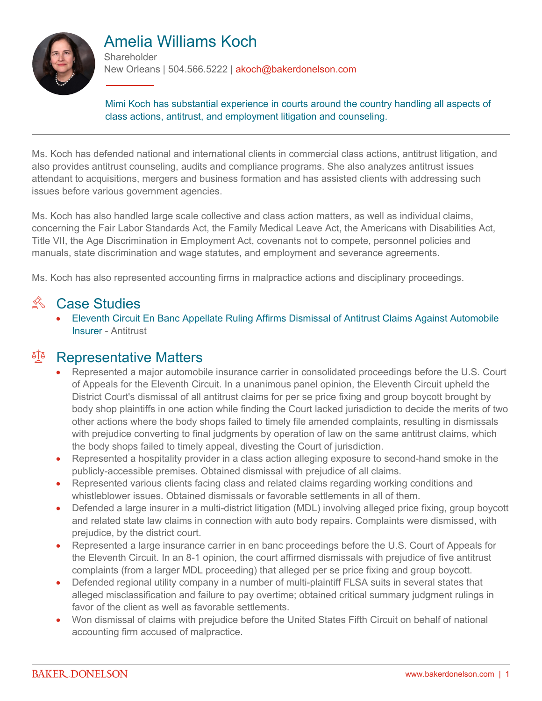

# Amelia Williams Koch

**Shareholder** New Orleans | 504.566.5222 | akoch@bakerdonelson.com

Mimi Koch has substantial experience in courts around the country handling all aspects of class actions, antitrust, and employment litigation and counseling.

Ms. Koch has defended national and international clients in commercial class actions, antitrust litigation, and also provides antitrust counseling, audits and compliance programs. She also analyzes antitrust issues attendant to acquisitions, mergers and business formation and has assisted clients with addressing such issues before various government agencies.

Ms. Koch has also handled large scale collective and class action matters, as well as individual claims, concerning the Fair Labor Standards Act, the Family Medical Leave Act, the Americans with Disabilities Act, Title VII, the Age Discrimination in Employment Act, covenants not to compete, personnel policies and manuals, state discrimination and wage statutes, and employment and severance agreements.

Ms. Koch has also represented accounting firms in malpractice actions and disciplinary proceedings.

### $\%$  Case Studies

 [Eleventh Circuit En Banc Appellate Ruling Affirms Dismissal of Antitrust Claims Against Automobile](https://www.bakerdonelson.com//eleventh-circuit-en-banc-appellate-ruling-affirms-dismissal-of-antitrust-claims-against-automobile-insurer)  [Insurer](https://www.bakerdonelson.com//eleventh-circuit-en-banc-appellate-ruling-affirms-dismissal-of-antitrust-claims-against-automobile-insurer) - Antitrust

#### <sup>T</sup> Representative Matters

- Represented a major automobile insurance carrier in consolidated proceedings before the U.S. Court of Appeals for the Eleventh Circuit. In a unanimous panel opinion, the Eleventh Circuit upheld the District Court's dismissal of all antitrust claims for per se price fixing and group boycott brought by body shop plaintiffs in one action while finding the Court lacked jurisdiction to decide the merits of two other actions where the body shops failed to timely file amended complaints, resulting in dismissals with prejudice converting to final judgments by operation of law on the same antitrust claims, which the body shops failed to timely appeal, divesting the Court of jurisdiction.
- Represented a hospitality provider in a class action alleging exposure to second-hand smoke in the publicly-accessible premises. Obtained dismissal with prejudice of all claims.
- Represented various clients facing class and related claims regarding working conditions and whistleblower issues. Obtained dismissals or favorable settlements in all of them.
- Defended a large insurer in a multi-district litigation (MDL) involving alleged price fixing, group boycott and related state law claims in connection with auto body repairs. Complaints were dismissed, with prejudice, by the district court.
- Represented a large insurance carrier in en banc proceedings before the U.S. Court of Appeals for the Eleventh Circuit. In an 8-1 opinion, the court affirmed dismissals with prejudice of five antitrust complaints (from a larger MDL proceeding) that alleged per se price fixing and group boycott.
- Defended regional utility company in a number of multi-plaintiff FLSA suits in several states that alleged misclassification and failure to pay overtime; obtained critical summary judgment rulings in favor of the client as well as favorable settlements.
- Won dismissal of claims with prejudice before the United States Fifth Circuit on behalf of national accounting firm accused of malpractice.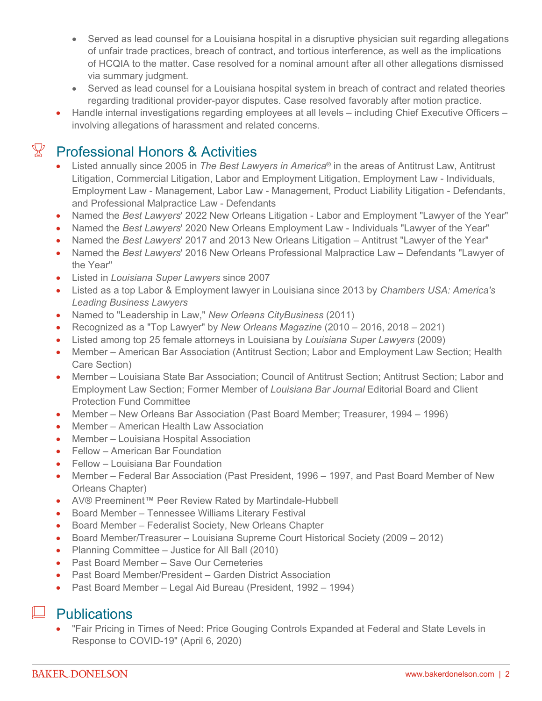- Served as lead counsel for a Louisiana hospital in a disruptive physician suit regarding allegations of unfair trade practices, breach of contract, and tortious interference, as well as the implications of HCQIA to the matter. Case resolved for a nominal amount after all other allegations dismissed via summary judgment.
- Served as lead counsel for a Louisiana hospital system in breach of contract and related theories regarding traditional provider-payor disputes. Case resolved favorably after motion practice.
- Handle internal investigations regarding employees at all levels including Chief Executive Officers involving allegations of harassment and related concerns.

# $\mathbb{X}$  Professional Honors & Activities

- Listed annually since 2005 in *The Best Lawyers in America*® in the areas of Antitrust Law, Antitrust Litigation, Commercial Litigation, Labor and Employment Litigation, Employment Law - Individuals, Employment Law - Management, Labor Law - Management, Product Liability Litigation - Defendants, and Professional Malpractice Law - Defendants
- Named the *Best Lawyers*' 2022 New Orleans Litigation Labor and Employment "Lawyer of the Year"
- Named the *Best Lawyers*' 2020 New Orleans Employment Law Individuals "Lawyer of the Year"
- Named the *Best Lawyers*' 2017 and 2013 New Orleans Litigation Antitrust "Lawyer of the Year"
- Named the *Best Lawyers*' 2016 New Orleans Professional Malpractice Law Defendants "Lawyer of the Year"
- Listed in *Louisiana Super Lawyers* since 2007
- Listed as a top Labor & Employment lawyer in Louisiana since 2013 by *Chambers USA: America's Leading Business Lawyers*
- Named to "Leadership in Law," *New Orleans CityBusiness* (2011)
- Recognized as a "Top Lawyer" by *New Orleans Magazine* (2010 2016, 2018 2021)
- Listed among top 25 female attorneys in Louisiana by *Louisiana Super Lawyers* (2009)
- Member American Bar Association (Antitrust Section; Labor and Employment Law Section; Health Care Section)
- Member Louisiana State Bar Association; Council of Antitrust Section; Antitrust Section; Labor and Employment Law Section; Former Member of *Louisiana Bar Journal* Editorial Board and Client Protection Fund Committee
- Member New Orleans Bar Association (Past Board Member; Treasurer, 1994 1996)
- Member American Health Law Association
- Member Louisiana Hospital Association
- Fellow American Bar Foundation
- Fellow Louisiana Bar Foundation
- Member Federal Bar Association (Past President, 1996 1997, and Past Board Member of New Orleans Chapter)
- AV® Preeminent™ Peer Review Rated by Martindale-Hubbell
- Board Member Tennessee Williams Literary Festival
- Board Member Federalist Society, New Orleans Chapter
- Board Member/Treasurer Louisiana Supreme Court Historical Society (2009 2012)
- Planning Committee Justice for All Ball (2010)
- Past Board Member Save Our Cemeteries
- Past Board Member/President Garden District Association
- Past Board Member Legal Aid Bureau (President, 1992 1994)

#### $\Box$  Publications

 "Fair Pricing in Times of Need: Price Gouging Controls Expanded at Federal and State Levels in Response to COVID-19" (April 6, 2020)